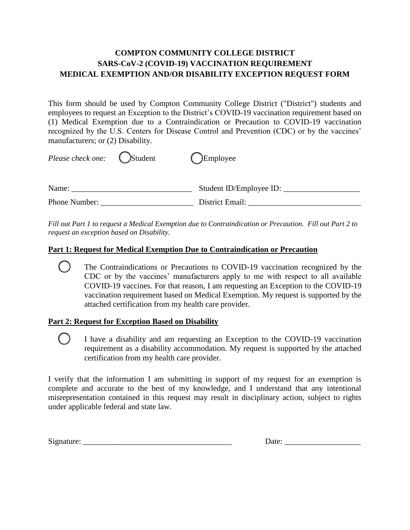# **COMPTON COMMUNITY COLLEGE DISTRICT SARS-CoV-2 (COVID-19) VACCINATION REQUIREMENT MEDICAL EXEMPTION AND/OR DISABILITY EXCEPTION REQUEST FORM**

This form should be used by Compton Community College District ("District") students and employees to request an Exception to the District's COVID-19 vaccination requirement based on (1) Medical Exemption due to a Contraindication or Precaution to COVID-19 vaccination recognized by the U.S. Centers for Disease Control and Prevention (CDC) or by the vaccines' manufacturers; or (2) Disability.

| Please check one: | (Student | <b>Employee</b>         |  |
|-------------------|----------|-------------------------|--|
| Name:             |          | Student ID/Employee ID: |  |
| Phone Number:     |          | District Email:         |  |

*Fill out Part 1 to request a Medical Exemption due to Contraindication or Precaution. Fill out Part 2 to request an exception based on Disability.* 

## **Part 1: Request for Medical Exemption Due to Contraindication or Precaution**

 The Contraindications or Precautions to COVID-19 vaccination recognized by the CDC or by the vaccines' manufacturers apply to me with respect to all available COVID-19 vaccines. For that reason, I am requesting an Exception to the COVID-19 vaccination requirement based on Medical Exemption. My request is supported by the attached certification from my health care provider.

# **Part 2: Request for Exception Based on Disability**

 I have a disability and am requesting an Exception to the COVID-19 vaccination requirement as a disability accommodation. My request is supported by the attached certification from my health care provider.

I verify that the information I am submitting in support of my request for an exemption is complete and accurate to the best of my knowledge, and I understand that any intentional misrepresentation contained in this request may result in disciplinary action, subject to rights under applicable federal and state law.

Signature: \_\_\_\_\_\_\_\_\_\_\_\_\_\_\_\_\_\_\_\_\_\_\_\_\_\_\_\_\_\_\_\_\_\_\_\_\_ Date: \_\_\_\_\_\_\_\_\_\_\_\_\_\_\_\_\_\_\_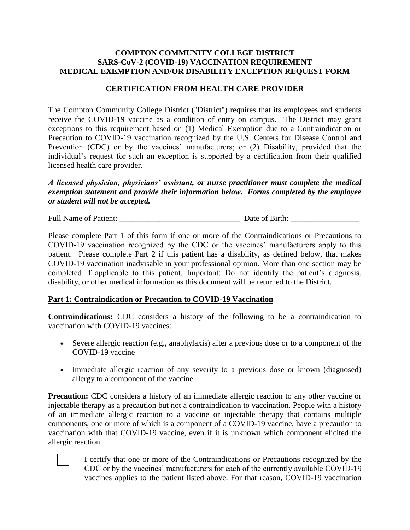### **COMPTON COMMUNITY COLLEGE DISTRICT SARS-CoV-2 (COVID-19) VACCINATION REQUIREMENT MEDICAL EXEMPTION AND/OR DISABILITY EXCEPTION REQUEST FORM**

### **CERTIFICATION FROM HEALTH CARE PROVIDER**

The Compton Community College District ("District") requires that its employees and students receive the COVID-19 vaccine as a condition of entry on campus. The District may grant exceptions to this requirement based on (1) Medical Exemption due to a Contraindication or Precaution to COVID-19 vaccination recognized by the U.S. Centers for Disease Control and Prevention (CDC) or by the vaccines' manufacturers; or (2) Disability, provided that the individual's request for such an exception is supported by a certification from their qualified licensed health care provider.

*A licensed physician, physicians' assistant, or nurse practitioner must complete the medical exemption statement and provide their information below. Forms completed by the employee or student will not be accepted.* 

Full Name of Patient: \_\_\_\_\_\_\_\_\_\_\_\_\_\_\_\_\_\_\_\_\_\_\_\_\_\_\_\_\_\_ Date of Birth: \_\_\_\_\_\_\_\_\_\_\_\_\_\_\_\_\_

Please complete Part 1 of this form if one or more of the Contraindications or Precautions to COVID-19 vaccination recognized by the CDC or the vaccines' manufacturers apply to this patient. Please complete Part 2 if this patient has a disability, as defined below, that makes COVID-19 vaccination inadvisable in your professional opinion. More than one section may be completed if applicable to this patient. Important: Do not identify the patient's diagnosis, disability, or other medical information as this document will be returned to the District.

#### **Part 1: Contraindication or Precaution to COVID-19 Vaccination**

**Contraindications:** CDC considers a history of the following to be a contraindication to vaccination with COVID-19 vaccines:

- Severe allergic reaction (e.g., anaphylaxis) after a previous dose or to a component of the COVID-19 vaccine
- Immediate allergic reaction of any severity to a previous dose or known (diagnosed) allergy to a component of the vaccine

**Precaution:** CDC considers a history of an immediate allergic reaction to any other vaccine or injectable therapy as a precaution but not a contraindication to vaccination. People with a history of an immediate allergic reaction to a vaccine or injectable therapy that contains multiple components, one or more of which is a component of a COVID-19 vaccine, have a precaution to vaccination with that COVID-19 vaccine, even if it is unknown which component elicited the allergic reaction.



 I certify that one or more of the Contraindications or Precautions recognized by the CDC or by the vaccines' manufacturers for each of the currently available COVID-19 vaccines applies to the patient listed above. For that reason, COVID-19 vaccination